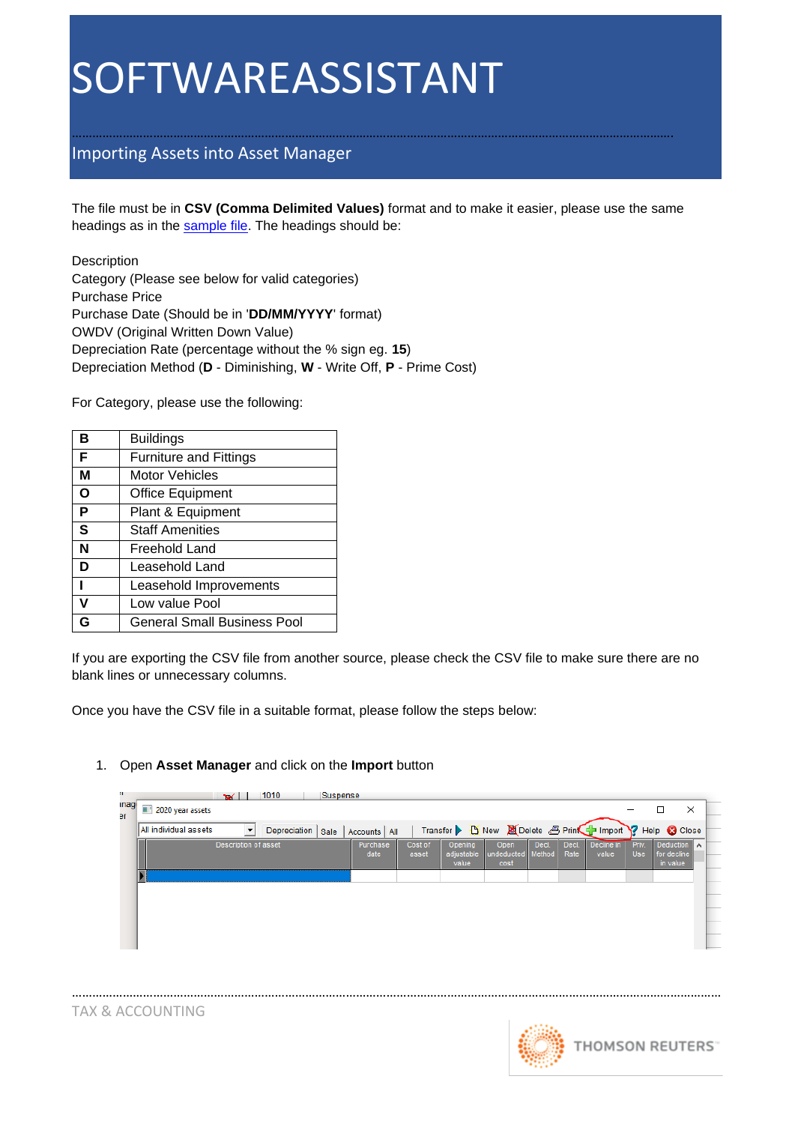## SOFTWAREASSISTANT

### Importing Assets into Asset Manager

The file must be in **CSV (Comma Delimited Values)** format and to make it easier, please use the same headings as in the [sample file.](https://training.thomsonreuters.com.au.uat.findlaw.com.au/media/2193/depreciation.csv) The headings should be:

…………………………………………………………………………………………………………………………………………………………….

Description Category (Please see below for valid categories) Purchase Price Purchase Date (Should be in '**DD/MM/YYYY**' format) OWDV (Original Written Down Value) Depreciation Rate (percentage without the % sign eg. **15**) Depreciation Method (**D** - Diminishing, **W** - Write Off, **P** - Prime Cost)

For Category, please use the following:

| в | <b>Buildings</b>                   |
|---|------------------------------------|
| F | <b>Furniture and Fittings</b>      |
| М | <b>Motor Vehicles</b>              |
| Ο | <b>Office Equipment</b>            |
| P | Plant & Equipment                  |
| S | <b>Staff Amenities</b>             |
| N | Freehold Land                      |
| D | Leasehold Land                     |
|   | Leasehold Improvements             |
|   | Low value Pool                     |
|   | <b>General Small Business Pool</b> |

If you are exporting the CSV file from another source, please check the CSV file to make sure there are no blank lines or unnecessary columns.

Once you have the CSV file in a suitable format, please follow the steps below:

#### 1. Open **Asset Manager** and click on the **Import** button

| inagi<br>эr | 1010<br>$\mathbf{v}$<br>п<br>2020 year assets | Suspense          |                  |                  |                                |                                                           |                 |               |                     |                     | ×                                              |  |
|-------------|-----------------------------------------------|-------------------|------------------|------------------|--------------------------------|-----------------------------------------------------------|-----------------|---------------|---------------------|---------------------|------------------------------------------------|--|
|             | All individual assets                         | Depreciation Sale | Accounts   All   |                  |                                | Transfer 1 New 20 Delete 3 Prink in Import ? Help & Close |                 |               |                     |                     |                                                |  |
|             | Description of asset                          |                   | Purchase<br>date | Cost of<br>asset | Opening<br>adjustable<br>value | Open<br>undeducted<br>cost                                | Decl.<br>Method | Decl.<br>Rate | Decline in<br>value | Priv.<br><b>Use</b> | Deduction $\Lambda$<br>for decline<br>in value |  |
|             |                                               |                   |                  |                  |                                |                                                           |                 |               |                     |                     |                                                |  |
|             |                                               |                   |                  |                  |                                |                                                           |                 |               |                     |                     |                                                |  |
|             |                                               |                   |                  |                  |                                |                                                           |                 |               |                     |                     |                                                |  |
|             |                                               |                   |                  |                  |                                |                                                           |                 |               |                     |                     |                                                |  |

…………………………………………………………………………………………………………………………………………………………………………

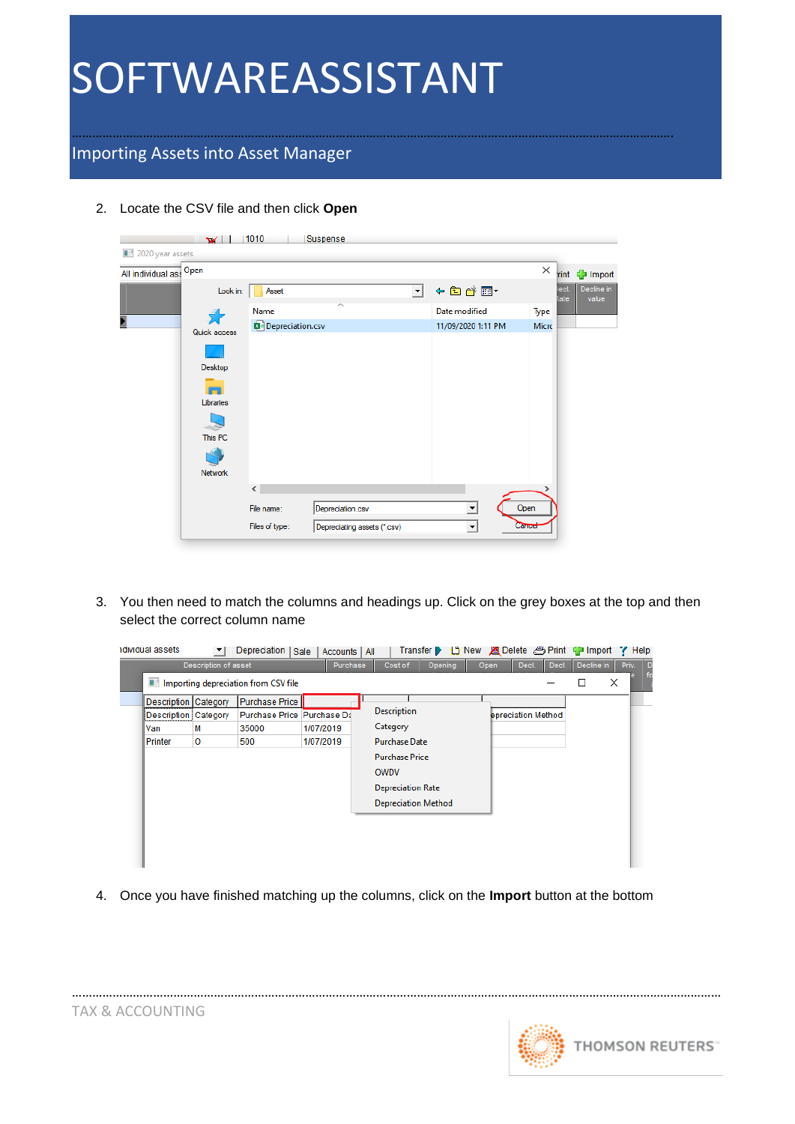# SOFTWAREASSISTANT

### Importing Assets into Asset Manager

2. Locate the CSV file and then click **Open**

|                         | $\mathbf{v}$ | 1010             | Suspense                    |         |                          |          |             |                     |
|-------------------------|--------------|------------------|-----------------------------|---------|--------------------------|----------|-------------|---------------------|
| 2020 year assets<br>a r |              |                  |                             |         |                          |          |             |                     |
| All individual ass      | Open         |                  |                             |         |                          | $\times$ | <b>rint</b> | - Import            |
|                         | Look in:     | Asset            |                             | $\vert$ | ←自診囲▼                    |          | ecl<br>₹ate | Decline in<br>value |
|                         |              | Name             | ㅅ                           |         | Date modified            | Type     |             |                     |
|                         | Quick access | Depreciation.csv |                             |         | 11/09/2020 1:11 PM       | Micro    |             |                     |
|                         |              |                  |                             |         |                          |          |             |                     |
|                         | Desktop      |                  |                             |         |                          |          |             |                     |
|                         |              |                  |                             |         |                          |          |             |                     |
|                         | Libraries    |                  |                             |         |                          |          |             |                     |
|                         |              |                  |                             |         |                          |          |             |                     |
|                         | This PC      |                  |                             |         |                          |          |             |                     |
|                         |              |                  |                             |         |                          |          |             |                     |
|                         | Network      |                  |                             |         |                          |          |             |                     |
|                         |              | $\langle$        |                             |         |                          |          |             |                     |
|                         |              | File name:       | Depreciation.csv            |         | $\overline{\phantom{a}}$ | Open     |             |                     |
|                         |              | Files of type:   | Depreciating assets (*.csv) |         | $\blacktriangledown$     | Cancel   |             |                     |

…………………………………………………………………………………………………………………………………………………………….

3. You then need to match the columns and headings up. Click on the grey boxes at the top and then select the correct column name

| Cost of<br>Decline in<br>Description of asset<br>Purchase<br>Opening<br>Decl.<br>Decl.<br>Open<br>Priv.<br>×<br>I Importing depreciation from CSV file<br>□<br><b>Purchase Price</b><br>Description Category<br><b>Description</b><br>Purchase Price Purchase Da<br>Description Category<br>epreciation Method<br>Category<br>M<br>1/07/2019<br>35000<br>Van<br>o<br>1/07/2019<br>500<br><b>Purchase Date</b><br>Printer<br><b>Purchase Price</b><br>OWDV<br><b>Depreciation Rate</b> | idividual assets | Depreciation   Sale | Accounts   All |  | Transfer |  |  | Delete 合 Print 中 Import | $\blacktriangleright$ Help |     |
|---------------------------------------------------------------------------------------------------------------------------------------------------------------------------------------------------------------------------------------------------------------------------------------------------------------------------------------------------------------------------------------------------------------------------------------------------------------------------------------|------------------|---------------------|----------------|--|----------|--|--|-------------------------|----------------------------|-----|
| <b>Depreciation Method</b>                                                                                                                                                                                                                                                                                                                                                                                                                                                            |                  |                     |                |  |          |  |  |                         |                            | 1 D |

4. Once you have finished matching up the columns, click on the **Import** button at the bottom

…………………………………………………………………………………………………………………………………………………………………………